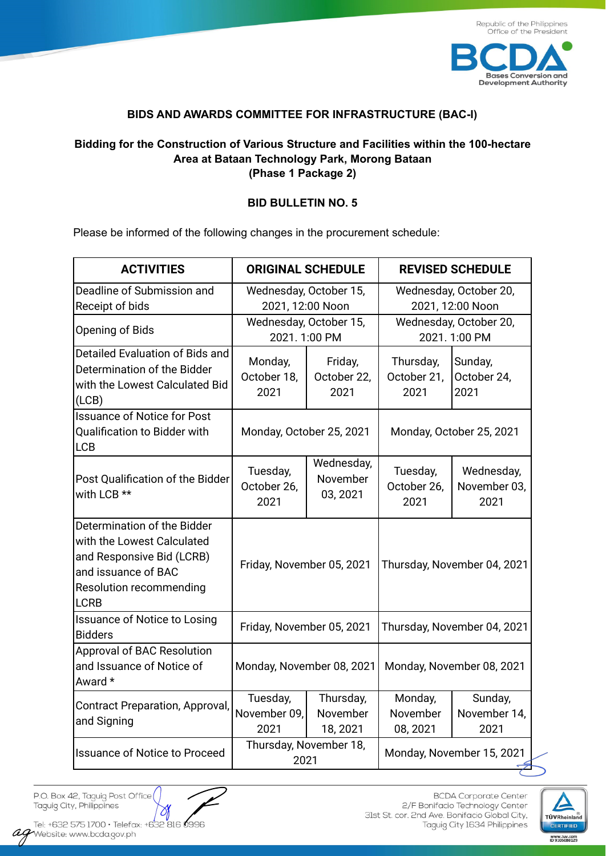

## **BIDS AND AWARDS COMMITTEE FOR INFRASTRUCTURE (BAC-I)**

## **Bidding for the Construction of Various Structure and Facilities within the 100-hectare Area at Bataan Technology Park, Morong Bataan (Phase 1 Package 2)**

## **BID BULLETIN NO. 5**

Please be informed of the following changes in the procurement schedule:

| <b>ACTIVITIES</b>                                                                                                                                       | <b>ORIGINAL SCHEDULE</b>                   |                                    | <b>REVISED SCHEDULE</b>                    |                                    |
|---------------------------------------------------------------------------------------------------------------------------------------------------------|--------------------------------------------|------------------------------------|--------------------------------------------|------------------------------------|
| Deadline of Submission and<br>Receipt of bids                                                                                                           | Wednesday, October 15,<br>2021, 12:00 Noon |                                    | Wednesday, October 20,<br>2021, 12:00 Noon |                                    |
| Opening of Bids                                                                                                                                         | Wednesday, October 15,<br>2021.1:00 PM     |                                    | Wednesday, October 20,<br>2021.1:00 PM     |                                    |
| Detailed Evaluation of Bids and<br>Determination of the Bidder<br>with the Lowest Calculated Bid<br>(LCB)                                               | Monday,<br>October 18,<br>2021             | Friday,<br>October 22,<br>2021     | Thursday,<br>October 21,<br>2021           | Sunday,<br>October 24,<br>2021     |
| <b>Issuance of Notice for Post</b><br>Qualification to Bidder with<br>LCB                                                                               | Monday, October 25, 2021                   |                                    | Monday, October 25, 2021                   |                                    |
| Post Qualification of the Bidder<br>with LCB **                                                                                                         | Tuesday,<br>October 26,<br>2021            | Wednesday,<br>November<br>03, 2021 | Tuesday,<br>October 26,<br>2021            | Wednesday,<br>November 03,<br>2021 |
| Determination of the Bidder<br>with the Lowest Calculated<br>and Responsive Bid (LCRB)<br>and issuance of BAC<br>Resolution recommending<br><b>LCRB</b> | Friday, November 05, 2021                  |                                    | Thursday, November 04, 2021                |                                    |
| <b>Issuance of Notice to Losing</b><br><b>Bidders</b>                                                                                                   | Friday, November 05, 2021                  |                                    | Thursday, November 04, 2021                |                                    |
| <b>Approval of BAC Resolution</b><br>and Issuance of Notice of<br>Award *                                                                               | Monday, November 08, 2021                  |                                    | Monday, November 08, 2021                  |                                    |
| <b>Contract Preparation, Approval,</b><br>and Signing                                                                                                   | Tuesday,<br>November 09,<br>2021           | Thursday,<br>November<br>18, 2021  | Monday,<br>November<br>08, 2021            | Sunday,<br>November 14,<br>2021    |
| <b>Issuance of Notice to Proceed</b>                                                                                                                    | Thursday, November 18,<br>2021             |                                    | Monday, November 15, 2021                  |                                    |

P.O. Box 42, Taguig Post Office Taguig City, Philippines

 $\bowtie$ 

Tel: +632 575 1700 · Telefax: +632 816 0996 iei: TO32 375 I/UU • Telefa:<br>**age**Website: www.bcda.gov.ph

**BCDA** Corporate Center 2/F Bonifacio Technology Center 31st St. cor. 2nd Ave. Bonifacio Global City, Taguig City 1634 Philippines